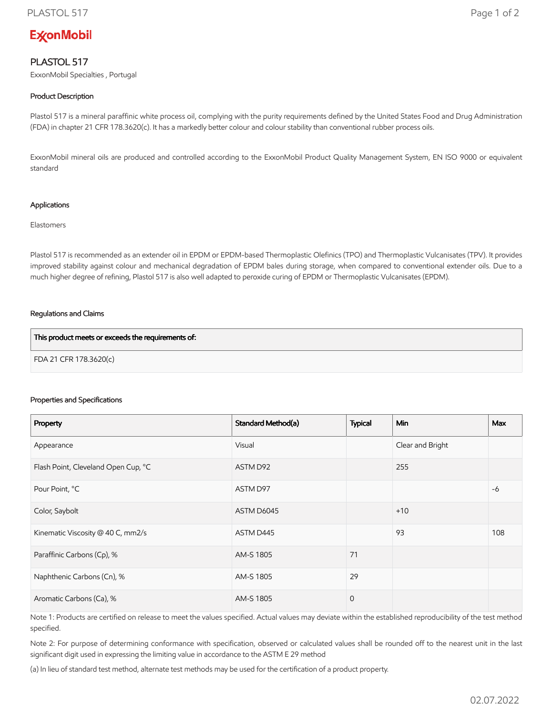# **ExconMobil**

## PLASTOL 517

ExxonMobil Specialties , Portugal

### Product Description

Plastol 517 is a mineral paraffinic white process oil, complying with the purity requirements defined by the United States Food and Drug Administration (FDA) in chapter 21 CFR 178.3620(c). It has a markedly better colour and colour stability than conventional rubber process oils.

ExxonMobil mineral oils are produced and controlled according to the ExxonMobil Product Quality Management System, EN ISO 9000 or equivalent standard

#### Applications

Elastomers

Plastol 517 is recommended as an extender oil in EPDM or EPDM-based Thermoplastic Olefinics (TPO) and Thermoplastic Vulcanisates (TPV). It provides improved stability against colour and mechanical degradation of EPDM bales during storage, when compared to conventional extender oils. Due to a much higher degree of refining, Plastol 517 is also well adapted to peroxide curing of EPDM or Thermoplastic Vulcanisates (EPDM).

#### Regulations and Claims

| This product meets or exceeds the requirements of: |  |
|----------------------------------------------------|--|
| FDA 21 CFR 178.3620(c)                             |  |

#### Properties and Specifications

| Property                            | Standard Method(a) | <b>Typical</b> | <b>Min</b>       | <b>Max</b> |
|-------------------------------------|--------------------|----------------|------------------|------------|
| Appearance                          | Visual             |                | Clear and Bright |            |
| Flash Point, Cleveland Open Cup, °C | ASTM D92           |                | 255              |            |
| Pour Point, °C                      | ASTM D97           |                |                  | $-6$       |
| Color, Saybolt                      | ASTM D6045         |                | $+10$            |            |
| Kinematic Viscosity @ 40 C, mm2/s   | ASTM D445          |                | 93               | 108        |
| Paraffinic Carbons (Cp), %          | AM-S 1805          | 71             |                  |            |
| Naphthenic Carbons (Cn), %          | AM-S 1805          | 29             |                  |            |
| Aromatic Carbons (Ca), %            | AM-S 1805          | $\overline{0}$ |                  |            |

Note 1: Products are certified on release to meet the values specified. Actual values may deviate within the established reproducibility of the test method specified.

Note 2: For purpose of determining conformance with specification, observed or calculated values shall be rounded off to the nearest unit in the last significant digit used in expressing the limiting value in accordance to the ASTM E 29 method

(a) In lieu of standard test method, alternate test methods may be used for the certification of a product property.